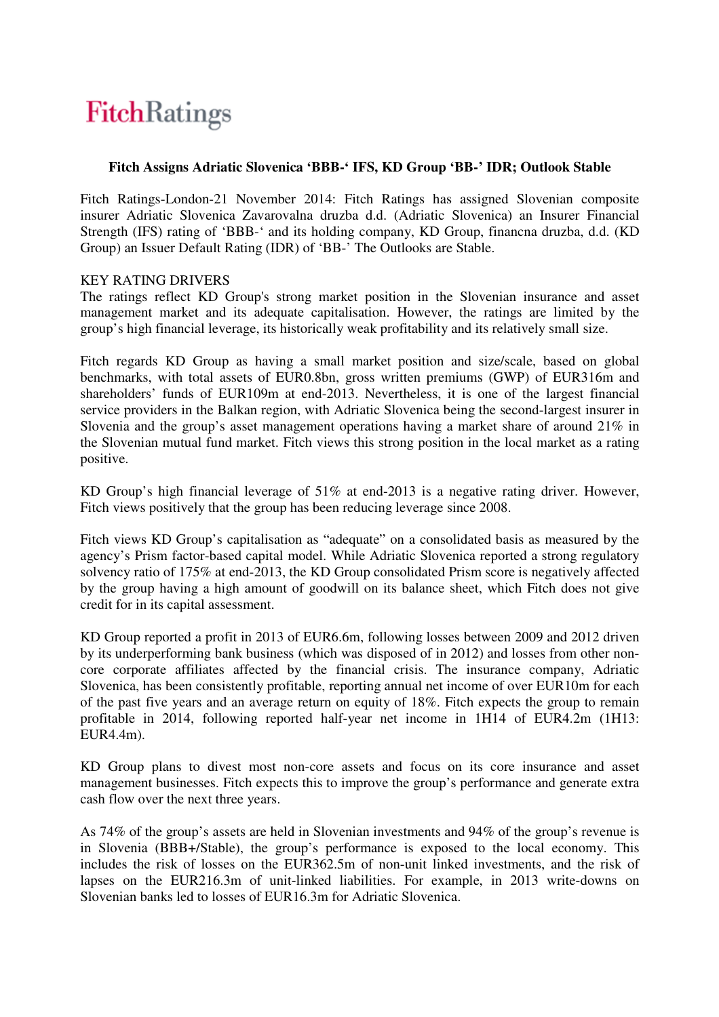# FitchRatings

## **Fitch Assigns Adriatic Slovenica 'BBB-' IFS, KD Group 'BB-' IDR; Outlook Stable**

Fitch Ratings-London-21 November 2014: Fitch Ratings has assigned Slovenian composite insurer Adriatic Slovenica Zavarovalna druzba d.d. (Adriatic Slovenica) an Insurer Financial Strength (IFS) rating of 'BBB-' and its holding company, KD Group, financna druzba, d.d. (KD Group) an Issuer Default Rating (IDR) of 'BB-' The Outlooks are Stable.

#### KEY RATING DRIVERS

The ratings reflect KD Group's strong market position in the Slovenian insurance and asset management market and its adequate capitalisation. However, the ratings are limited by the group's high financial leverage, its historically weak profitability and its relatively small size.

Fitch regards KD Group as having a small market position and size/scale, based on global benchmarks, with total assets of EUR0.8bn, gross written premiums (GWP) of EUR316m and shareholders' funds of EUR109m at end-2013. Nevertheless, it is one of the largest financial service providers in the Balkan region, with Adriatic Slovenica being the second-largest insurer in Slovenia and the group's asset management operations having a market share of around 21% in the Slovenian mutual fund market. Fitch views this strong position in the local market as a rating positive.

KD Group's high financial leverage of 51% at end-2013 is a negative rating driver. However, Fitch views positively that the group has been reducing leverage since 2008.

Fitch views KD Group's capitalisation as "adequate" on a consolidated basis as measured by the agency's Prism factor-based capital model. While Adriatic Slovenica reported a strong regulatory solvency ratio of 175% at end-2013, the KD Group consolidated Prism score is negatively affected by the group having a high amount of goodwill on its balance sheet, which Fitch does not give credit for in its capital assessment.

KD Group reported a profit in 2013 of EUR6.6m, following losses between 2009 and 2012 driven by its underperforming bank business (which was disposed of in 2012) and losses from other noncore corporate affiliates affected by the financial crisis. The insurance company, Adriatic Slovenica, has been consistently profitable, reporting annual net income of over EUR10m for each of the past five years and an average return on equity of 18%. Fitch expects the group to remain profitable in 2014, following reported half-year net income in 1H14 of EUR4.2m (1H13: EUR4.4m).

KD Group plans to divest most non-core assets and focus on its core insurance and asset management businesses. Fitch expects this to improve the group's performance and generate extra cash flow over the next three years.

As 74% of the group's assets are held in Slovenian investments and 94% of the group's revenue is in Slovenia (BBB+/Stable), the group's performance is exposed to the local economy. This includes the risk of losses on the EUR362.5m of non-unit linked investments, and the risk of lapses on the EUR216.3m of unit-linked liabilities. For example, in 2013 write-downs on Slovenian banks led to losses of EUR16.3m for Adriatic Slovenica.